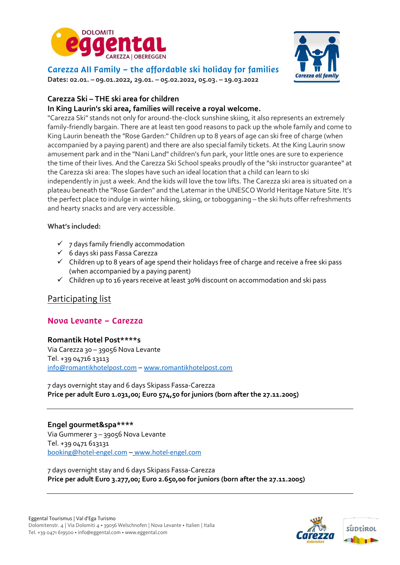



Carezza All Family – the affordable ski holiday for families

**Dates: 02.01. – 09.01.2022, 29.01. – 05.02.2022, 05.03. – 19.03.2022**

## **Carezza Ski – THE ski area for children**

### **In King Laurin's ski area, families will receive a royal welcome.**

"Carezza Ski" stands not only for around-the-clock sunshine skiing, it also represents an extremely family-friendly bargain. There are at least ten good reasons to pack up the whole family and come to King Laurin beneath the "Rose Garden:" Children up to 8 years of age can ski free of charge (when accompanied by a paying parent) and there are also special family tickets. At the King Laurin snow amusement park and in the "Nani Land" children's fun park, your little ones are sure to experience the time of their lives. And the Carezza Ski School speaks proudly of the "ski instructor guarantee" at the Carezza ski area: The slopes have such an ideal location that a child can learn to ski independently in just a week. And the kids will love the tow lifts. The Carezza ski area is situated on a plateau beneath the "Rose Garden" and the Latemar in the UNESCO World Heritage Nature Site. It's the perfect place to indulge in winter hiking, skiing, or tobogganing – the ski huts offer refreshments and hearty snacks and are very accessible.

### **What's included:**

- $\checkmark$  7 days family friendly accommodation
- ✓ 6 days ski pass Fassa Carezza
- $\checkmark$  Children up to 8 years of age spend their holidays free of charge and receive a free ski pass (when accompanied by a paying parent)
- $\checkmark$  Children up to 16 years receive at least 30% discount on accommodation and ski pass

# Participating list

# Nova Levante – Carezza

#### **Romantik Hotel Post\*\*\*\*s**

Via Carezza 30 – 39056 Nova Levante Tel. +39 04716 13113 [info@romantikhotelpost.com](mailto:info@romantikhotelpost.com) – [www.romantikhotelpost.com](http://www.romantikhotelpost.com/)

7 days overnight stay and 6 days Skipass Fassa-Carezza **Price per adult Euro 1.031,00; Euro 574,50 for juniors (born after the 27.11.2005)**

### **Engel gourmet&spa\*\*\*\***

Via Gummerer 3 – 39056 Nova Levante Tel. +39 0471 613131 [booking@hotel-engel.com](mailto:booking@hotel-engel.com) – www.hotel-engel.com

7 days overnight stay and 6 days Skipass Fassa-Carezza **Price per adult Euro 3.277,00; Euro 2.650,00 for juniors (born after the 27.11.2005)**